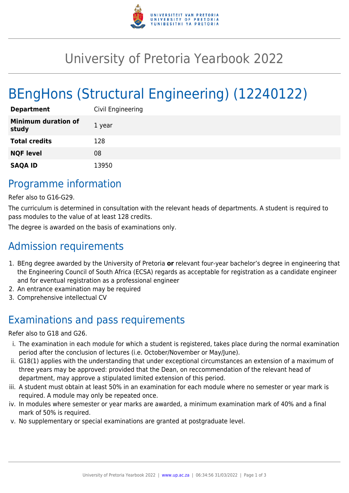

# University of Pretoria Yearbook 2022

# BEngHons (Structural Engineering) (12240122)

| <b>Department</b>                   | Civil Engineering |
|-------------------------------------|-------------------|
| <b>Minimum duration of</b><br>study | 1 year            |
| <b>Total credits</b>                | 128               |
| <b>NQF level</b>                    | 08                |
| <b>SAQA ID</b>                      | 13950             |

### Programme information

Refer also to G16-G29.

The curriculum is determined in consultation with the relevant heads of departments. A student is required to pass modules to the value of at least 128 credits.

The degree is awarded on the basis of examinations only.

## Admission requirements

- 1. BEng degree awarded by the University of Pretoria **or** relevant four-year bachelor's degree in engineering that the Engineering Council of South Africa (ECSA) regards as acceptable for registration as a candidate engineer and for eventual registration as a professional engineer
- 2. An entrance examination may be required
- 3. Comprehensive intellectual CV

## Examinations and pass requirements

Refer also to G18 and G26.

- i. The examination in each module for which a student is registered, takes place during the normal examination period after the conclusion of lectures (i.e. October/November or May/June).
- ii. G18(1) applies with the understanding that under exceptional circumstances an extension of a maximum of three years may be approved: provided that the Dean, on reccommendation of the relevant head of department, may approve a stipulated limited extension of this period.
- iii. A student must obtain at least 50% in an examination for each module where no semester or year mark is required. A module may only be repeated once.
- iv. In modules where semester or year marks are awarded, a minimum examination mark of 40% and a final mark of 50% is required.
- v. No supplementary or special examinations are granted at postgraduate level.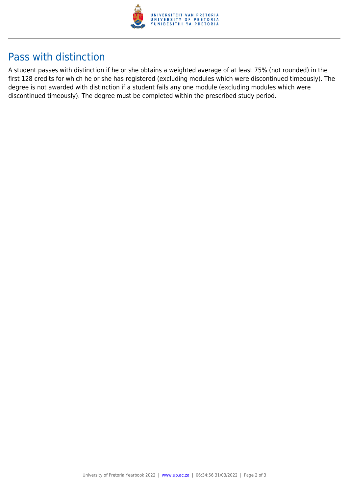

### Pass with distinction

A student passes with distinction if he or she obtains a weighted average of at least 75% (not rounded) in the first 128 credits for which he or she has registered (excluding modules which were discontinued timeously). The degree is not awarded with distinction if a student fails any one module (excluding modules which were discontinued timeously). The degree must be completed within the prescribed study period.